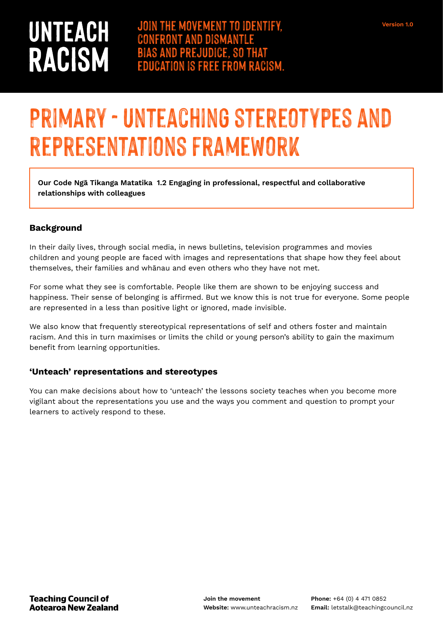# UNTEACH **RACISM**

## **Primary - Unteaching stereotypes and representations framework**

**Our Code Ngā Tikanga Matatika 1.2 Engaging in professional, respectful and collaborative relationships with colleagues** 

#### **Background**

In their daily lives, through social media, in news bulletins, television programmes and movies children and young people are faced with images and representations that shape how they feel about themselves, their families and whānau and even others who they have not met.

For some what they see is comfortable. People like them are shown to be enjoying success and happiness. Their sense of belonging is affirmed. But we know this is not true for everyone. Some people are represented in a less than positive light or ignored, made invisible.

We also know that frequently stereotypical representations of self and others foster and maintain racism. And this in turn maximises or limits the child or young person's ability to gain the maximum benefit from learning opportunities.

#### **'Unteach' representations and stereotypes**

You can make decisions about how to 'unteach' the lessons society teaches when you become more vigilant about the representations you use and the ways you comment and question to prompt your learners to actively respond to these.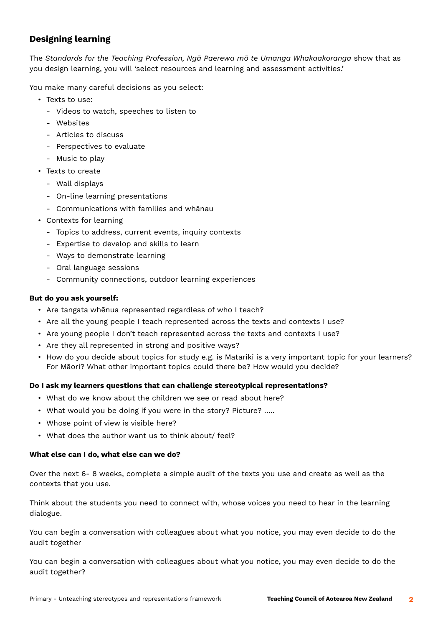### **Designing learning**

The *Standards for the Teaching Profession, Ngā Paerewa mō te Umanga Whakaakoranga* show that as you design learning, you will 'select resources and learning and assessment activities.'

You make many careful decisions as you select:

- Texts to use:
	- ‐ Videos to watch, speeches to listen to
	- ‐ Websites
	- ‐ Articles to discuss
	- ‐ Perspectives to evaluate
	- ‐ Music to play
- Texts to create
	- ‐ Wall displays
	- ‐ On-line learning presentations
	- ‐ Communications with families and whānau
- Contexts for learning
	- ‐ Topics to address, current events, inquiry contexts
	- ‐ Expertise to develop and skills to learn
	- ‐ Ways to demonstrate learning
	- ‐ Oral language sessions
	- ‐ Community connections, outdoor learning experiences

#### **But do you ask yourself:**

- Are tangata whēnua represented regardless of who I teach?
- Are all the young people I teach represented across the texts and contexts I use?
- Are young people I don't teach represented across the texts and contexts I use?
- Are they all represented in strong and positive ways?
- How do you decide about topics for study e.g. is Matariki is a very important topic for your learners? For Māori? What other important topics could there be? How would you decide?

#### **Do I ask my learners questions that can challenge stereotypical representations?**

- What do we know about the children we see or read about here?
- What would you be doing if you were in the story? Picture? …..
- Whose point of view is visible here?
- What does the author want us to think about/ feel?

#### **What else can I do, what else can we do?**

Over the next 6- 8 weeks, complete a simple audit of the texts you use and create as well as the contexts that you use.

Think about the students you need to connect with, whose voices you need to hear in the learning dialogue.

You can begin a conversation with colleagues about what you notice, you may even decide to do the audit together

You can begin a conversation with colleagues about what you notice, you may even decide to do the audit together?